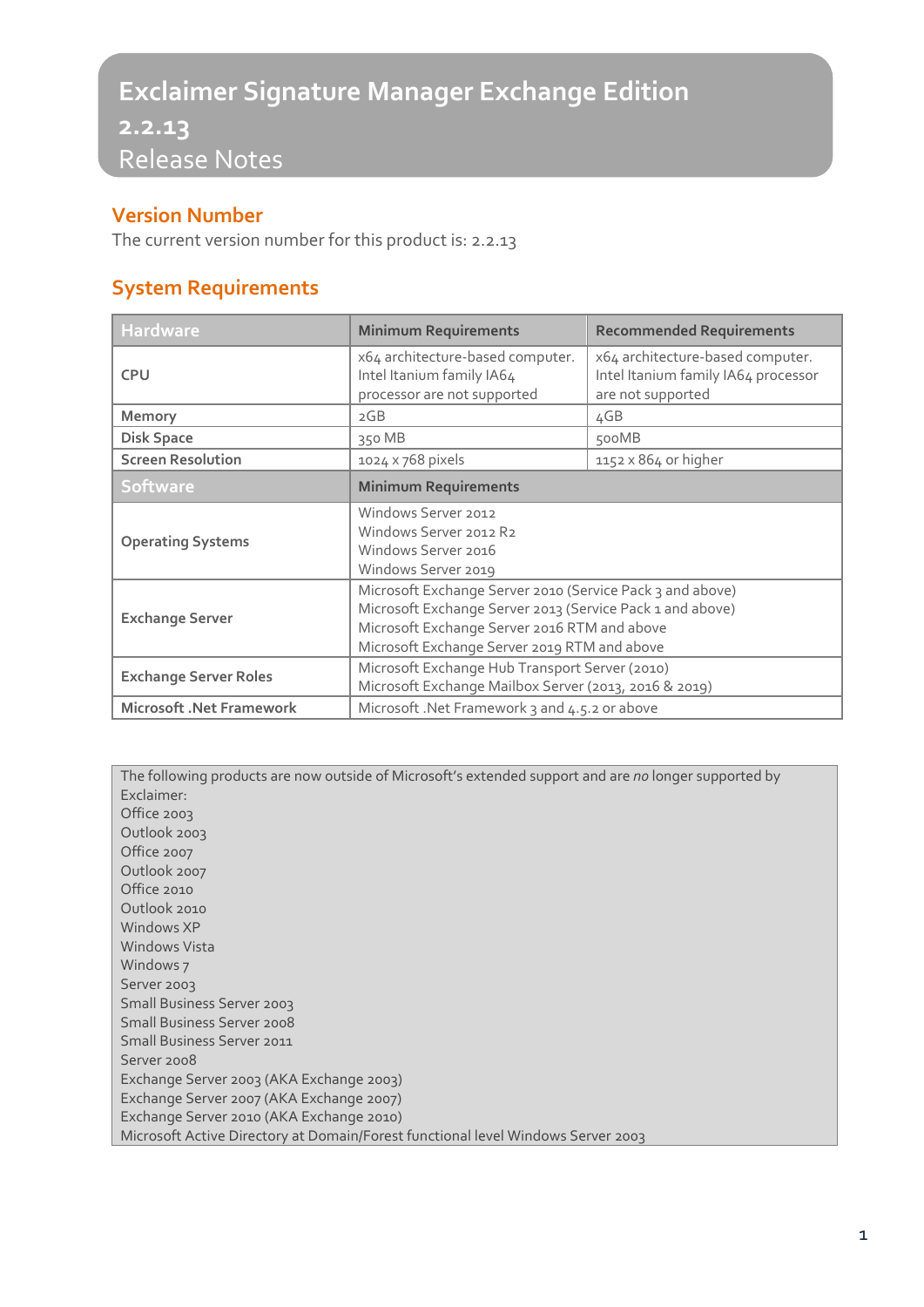# **Exclaimer Signature Manager Exchange Edition**

**2.2.13** Release Notes

#### **Version Number**

The current version number for this product is: 2.2.13

## **System Requirements**

| <b>Hardware</b>                 | <b>Minimum Requirements</b>                                                                                                                                                                                            | <b>Recommended Requirements</b>                                                              |
|---------------------------------|------------------------------------------------------------------------------------------------------------------------------------------------------------------------------------------------------------------------|----------------------------------------------------------------------------------------------|
| <b>CPU</b>                      | x64 architecture-based computer.<br>Intel Itanium family IA64<br>processor are not supported                                                                                                                           | x64 architecture-based computer.<br>Intel Itanium family IA64 processor<br>are not supported |
| <b>Memory</b>                   | 2GB                                                                                                                                                                                                                    | 4GB                                                                                          |
| <b>Disk Space</b>               | 350 MB                                                                                                                                                                                                                 | 500MB                                                                                        |
| <b>Screen Resolution</b>        | 1024 x 768 pixels                                                                                                                                                                                                      | 1152 x 864 or higher                                                                         |
| <b>Software</b>                 | <b>Minimum Requirements</b>                                                                                                                                                                                            |                                                                                              |
| <b>Operating Systems</b>        | Windows Server 2012<br>Windows Server 2012 R2<br>Windows Server 2016<br>Windows Server 2019                                                                                                                            |                                                                                              |
| <b>Exchange Server</b>          | Microsoft Exchange Server 2010 (Service Pack 3 and above)<br>Microsoft Exchange Server 2013 (Service Pack 1 and above)<br>Microsoft Exchange Server 2016 RTM and above<br>Microsoft Exchange Server 2019 RTM and above |                                                                                              |
| <b>Exchange Server Roles</b>    | Microsoft Exchange Hub Transport Server (2010)<br>Microsoft Exchange Mailbox Server (2013, 2016 & 2019)                                                                                                                |                                                                                              |
| <b>Microsoft .Net Framework</b> | Microsoft .Net Framework 3 and 4.5.2 or above                                                                                                                                                                          |                                                                                              |

| The following products are now outside of Microsoft's extended support and are no longer supported by |
|-------------------------------------------------------------------------------------------------------|
| Exclaimer:                                                                                            |
| Office 2003                                                                                           |
| Outlook 2003                                                                                          |
| Office 2007                                                                                           |
| Outlook 2007                                                                                          |
| Office 2010                                                                                           |
| Outlook 2010                                                                                          |
| Windows XP                                                                                            |
| Windows Vista                                                                                         |
| Windows 7                                                                                             |
| Server 2003                                                                                           |
| Small Business Server 2003                                                                            |
| <b>Small Business Server 2008</b>                                                                     |
| <b>Small Business Server 2011</b>                                                                     |
| Server 2008                                                                                           |
| Exchange Server 2003 (AKA Exchange 2003)                                                              |
| Exchange Server 2007 (AKA Exchange 2007)                                                              |
| Exchange Server 2010 (AKA Exchange 2010)                                                              |
| Microsoft Active Directory at Domain/Forest functional level Windows Server 2003                      |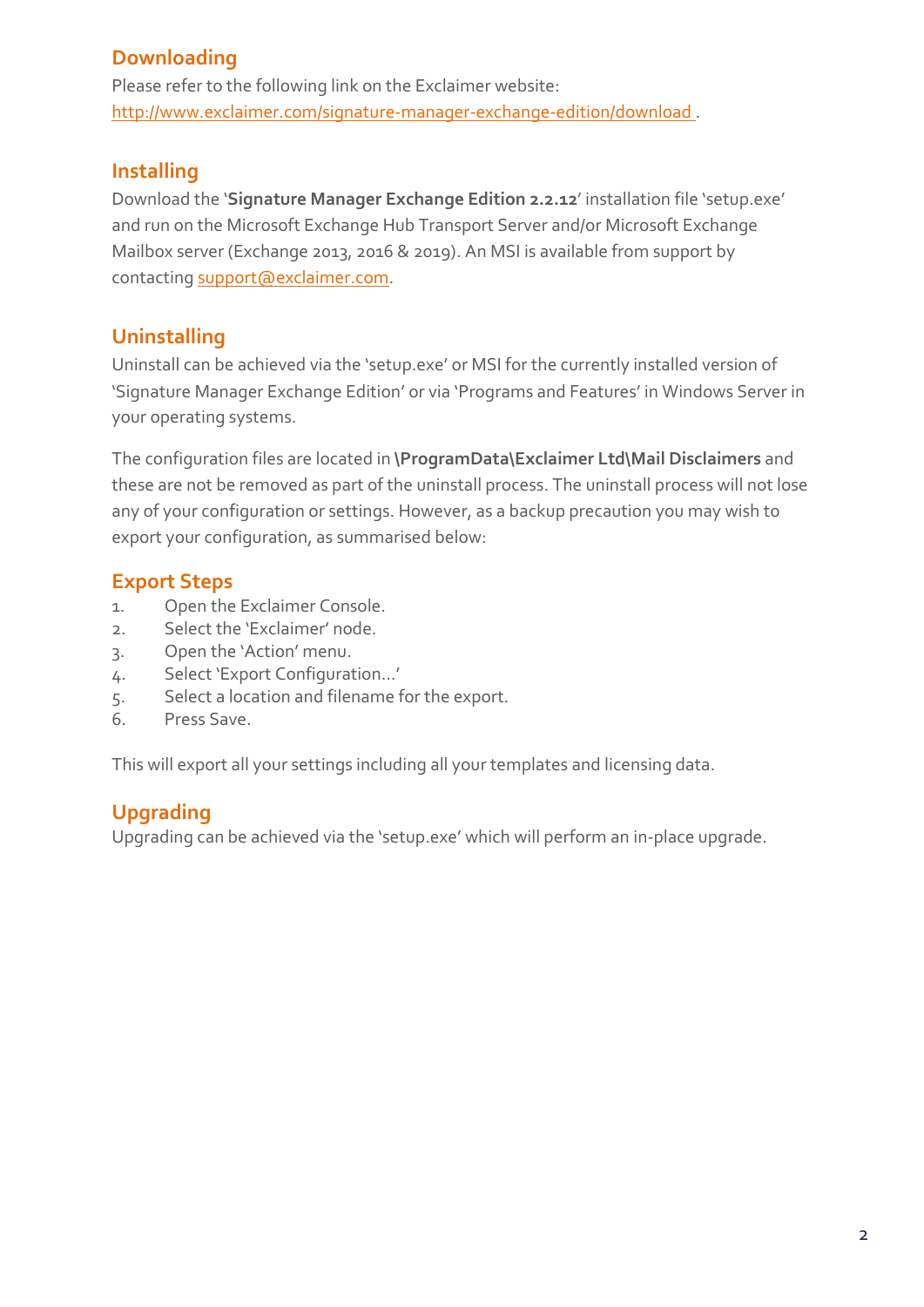## **Downloading**

Please refer to the following link on the Exclaimer website: <http://www.exclaimer.com/signature-manager-exchange-edition/download> .

#### **Installing**

Download the '**Signature Manager Exchange Edition 2.2.12**' installation file 'setup.exe' and run on the Microsoft Exchange Hub Transport Server and/or Microsoft Exchange Mailbox server (Exchange 2013, 2016 & 2019). An MSI is available from support by contactin[g support@exclaimer.com.](mailto:support@exclaimer.com)

### **Uninstalling**

Uninstall can be achieved via the 'setup.exe' or MSI for the currently installed version of 'Signature Manager Exchange Edition' or via 'Programs and Features' in Windows Server in your operating systems.

The configuration files are located in **\ProgramData\Exclaimer Ltd\Mail Disclaimers** and these are not be removed as part of the uninstall process. The uninstall process will not lose any of your configuration or settings. However, as a backup precaution you may wish to export your configuration, as summarised below:

#### **Export Steps**

- 1. Open the Exclaimer Console.
- 2. Select the 'Exclaimer' node.
- 3. Open the 'Action' menu.
- 4. Select 'Export Configuration...'
- 5. Select a location and filename for the export.
- 6. Press Save.

This will export all your settings including all your templates and licensing data.

## **Upgrading**

Upgrading can be achieved via the 'setup.exe' which will perform an in-place upgrade.